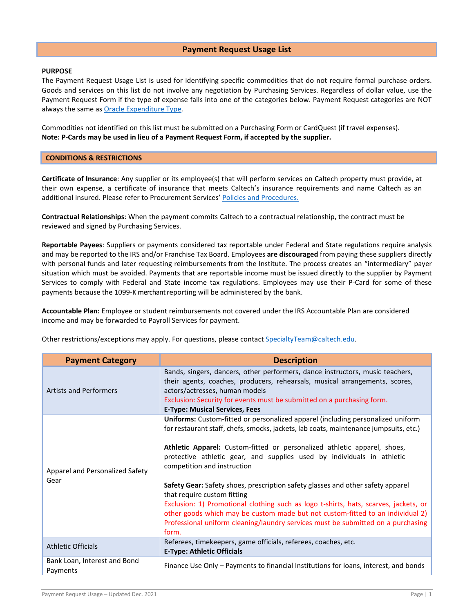## **Payment Request Usage List**

## **PURPOSE**

The Payment Request Usage List is used for identifying specific commodities that do not require formal purchase orders. Goods and services on this list do not involve any negotiation by Purchasing Services. Regardless of dollar value, use the Payment Request Form if the type of expense falls into one of the categories below. Payment Request categories are NOT always the same a[s Oracle Expenditure Type.](https://procurement.caltech.edu/documents/20546/expenditure_type_list.pdf)

Commodities not identified on this list must be submitted on a Purchasing Form or CardQuest (if travel expenses). **Note: P-Cards may be used in lieu of a Payment Request Form, if accepted by the supplier.**

## **CONDITIONS & RESTRICTIONS**

**Certificate of Insurance**: Any supplier or its employee(s) that will perform services on Caltech property must provide, at their own expense, a certificate of insurance that meets Caltech's insurance requirements and name Caltech as an additional insured. Please refer to Procurement Services' [Policies and Procedures.](https://procurement.caltech.edu/quick-links/quick-links-policies-and-procedures)

**Contractual Relationships**: When the payment commits Caltech to a contractual relationship, the contract must be reviewed and signed by Purchasing Services.

**Reportable Payees**: Suppliers or payments considered tax reportable under Federal and State regulations require analysis and may be reported to the IRS and/or Franchise Tax Board. Employees **are discouraged** from paying these suppliers directly with personal funds and later requesting reimbursements from the Institute. The process creates an "intermediary" payer situation which must be avoided. Payments that are reportable income must be issued directly to the supplier by Payment Services to comply with Federal and State income tax regulations. Employees may use their P-Card for some of these payments because the 1099-K merchant reporting will be administered by the bank.

**Accountable Plan:** Employee or student reimbursements not covered under the IRS Accountable Plan are considered income and may be forwarded to Payroll Services for payment.

Other restrictions/exceptions may apply. For questions, please contact [SpecialtyTeam@caltech.edu.](mailto:SpecialtyTeam@caltech.edu)

| <b>Payment Category</b>                  | <b>Description</b>                                                                                                                                                                                                                                                                                                                                                                                                                                                                                                                                                                                                                                                                                                                                     |
|------------------------------------------|--------------------------------------------------------------------------------------------------------------------------------------------------------------------------------------------------------------------------------------------------------------------------------------------------------------------------------------------------------------------------------------------------------------------------------------------------------------------------------------------------------------------------------------------------------------------------------------------------------------------------------------------------------------------------------------------------------------------------------------------------------|
| <b>Artists and Performers</b>            | Bands, singers, dancers, other performers, dance instructors, music teachers,<br>their agents, coaches, producers, rehearsals, musical arrangements, scores,<br>actors/actresses, human models<br>Exclusion: Security for events must be submitted on a purchasing form.<br><b>E-Type: Musical Services, Fees</b>                                                                                                                                                                                                                                                                                                                                                                                                                                      |
| Apparel and Personalized Safety<br>Gear  | Uniforms: Custom-fitted or personalized apparel (including personalized uniform<br>for restaurant staff, chefs, smocks, jackets, lab coats, maintenance jumpsuits, etc.)<br>Athletic Apparel: Custom-fitted or personalized athletic apparel, shoes,<br>protective athletic gear, and supplies used by individuals in athletic<br>competition and instruction<br>Safety Gear: Safety shoes, prescription safety glasses and other safety apparel<br>that require custom fitting<br>Exclusion: 1) Promotional clothing such as logo t-shirts, hats, scarves, jackets, or<br>other goods which may be custom made but not custom-fitted to an individual 2)<br>Professional uniform cleaning/laundry services must be submitted on a purchasing<br>form. |
| <b>Athletic Officials</b>                | Referees, timekeepers, game officials, referees, coaches, etc.<br><b>E-Type: Athletic Officials</b>                                                                                                                                                                                                                                                                                                                                                                                                                                                                                                                                                                                                                                                    |
| Bank Loan, Interest and Bond<br>Payments | Finance Use Only – Payments to financial Institutions for loans, interest, and bonds                                                                                                                                                                                                                                                                                                                                                                                                                                                                                                                                                                                                                                                                   |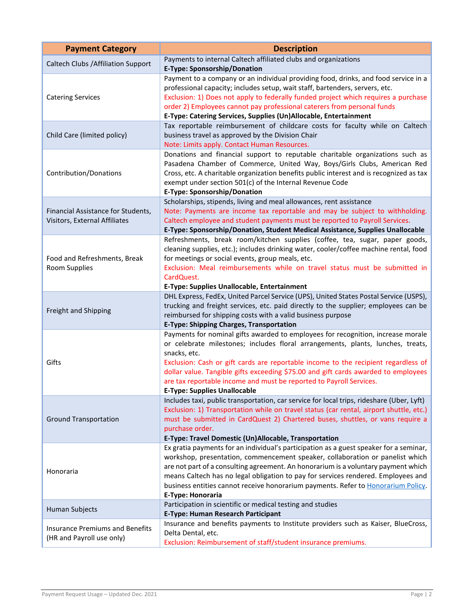| <b>Payment Category</b>                                             | <b>Description</b>                                                                                                                                                                                                                                                                                                                                                                                                                                                            |
|---------------------------------------------------------------------|-------------------------------------------------------------------------------------------------------------------------------------------------------------------------------------------------------------------------------------------------------------------------------------------------------------------------------------------------------------------------------------------------------------------------------------------------------------------------------|
| <b>Caltech Clubs / Affiliation Support</b>                          | Payments to internal Caltech affiliated clubs and organizations<br>E-Type: Sponsorship/Donation                                                                                                                                                                                                                                                                                                                                                                               |
| <b>Catering Services</b>                                            | Payment to a company or an individual providing food, drinks, and food service in a<br>professional capacity; includes setup, wait staff, bartenders, servers, etc.<br>Exclusion: 1) Does not apply to federally funded project which requires a purchase<br>order 2) Employees cannot pay professional caterers from personal funds<br>E-Type: Catering Services, Supplies (Un)Allocable, Entertainment                                                                      |
| Child Care (limited policy)                                         | Tax reportable reimbursement of childcare costs for faculty while on Caltech<br>business travel as approved by the Division Chair<br>Note: Limits apply. Contact Human Resources.                                                                                                                                                                                                                                                                                             |
| Contribution/Donations                                              | Donations and financial support to reputable charitable organizations such as<br>Pasadena Chamber of Commerce, United Way, Boys/Girls Clubs, American Red<br>Cross, etc. A charitable organization benefits public interest and is recognized as tax<br>exempt under section 501(c) of the Internal Revenue Code<br><b>E-Type: Sponsorship/Donation</b>                                                                                                                       |
|                                                                     | Scholarships, stipends, living and meal allowances, rent assistance                                                                                                                                                                                                                                                                                                                                                                                                           |
| Financial Assistance for Students,                                  | Note: Payments are income tax reportable and may be subject to withholding.                                                                                                                                                                                                                                                                                                                                                                                                   |
| Visitors, External Affiliates                                       | Caltech employee and student payments must be reported to Payroll Services.                                                                                                                                                                                                                                                                                                                                                                                                   |
| Food and Refreshments, Break<br><b>Room Supplies</b>                | E-Type: Sponsorship/Donation, Student Medical Assistance, Supplies Unallocable<br>Refreshments, break room/kitchen supplies (coffee, tea, sugar, paper goods,<br>cleaning supplies, etc.); includes drinking water, cooler/coffee machine rental, food<br>for meetings or social events, group meals, etc.<br>Exclusion: Meal reimbursements while on travel status must be submitted in<br>CardQuest.                                                                        |
|                                                                     | E-Type: Supplies Unallocable, Entertainment                                                                                                                                                                                                                                                                                                                                                                                                                                   |
| Freight and Shipping                                                | DHL Express, FedEx, United Parcel Service (UPS), United States Postal Service (USPS),<br>trucking and freight services, etc. paid directly to the supplier; employees can be<br>reimbursed for shipping costs with a valid business purpose<br><b>E-Type: Shipping Charges, Transportation</b>                                                                                                                                                                                |
| Gifts                                                               | Payments for nominal gifts awarded to employees for recognition, increase morale<br>or celebrate milestones; includes floral arrangements, plants, lunches, treats,<br>snacks, etc.<br>Exclusion: Cash or gift cards are reportable income to the recipient regardless of<br>dollar value. Tangible gifts exceeding \$75.00 and gift cards awarded to employees<br>are tax reportable income and must be reported to Payroll Services.<br><b>E-Type: Supplies Unallocable</b> |
| <b>Ground Transportation</b>                                        | Includes taxi, public transportation, car service for local trips, rideshare (Uber, Lyft)<br>Exclusion: 1) Transportation while on travel status (car rental, airport shuttle, etc.)<br>must be submitted in CardQuest 2) Chartered buses, shuttles, or vans require a<br>purchase order.<br>E-Type: Travel Domestic (Un)Allocable, Transportation                                                                                                                            |
| Honoraria                                                           | Ex gratia payments for an individual's participation as a guest speaker for a seminar,<br>workshop, presentation, commencement speaker, collaboration or panelist which<br>are not part of a consulting agreement. An honorarium is a voluntary payment which<br>means Caltech has no legal obligation to pay for services rendered. Employees and<br>business entities cannot receive honorarium payments. Refer to Honorarium Policy.<br>E-Type: Honoraria                  |
| Human Subjects                                                      | Participation in scientific or medical testing and studies<br><b>E-Type: Human Research Participant</b>                                                                                                                                                                                                                                                                                                                                                                       |
| <b>Insurance Premiums and Benefits</b><br>(HR and Payroll use only) | Insurance and benefits payments to Institute providers such as Kaiser, BlueCross,<br>Delta Dental, etc.<br>Exclusion: Reimbursement of staff/student insurance premiums.                                                                                                                                                                                                                                                                                                      |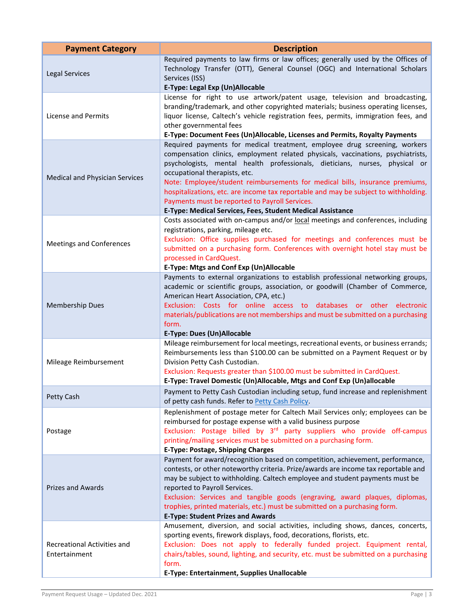| <b>Payment Category</b>                      | <b>Description</b>                                                                                                                                                                                                                                                                                                                                                                                                                                                                                                                                                   |
|----------------------------------------------|----------------------------------------------------------------------------------------------------------------------------------------------------------------------------------------------------------------------------------------------------------------------------------------------------------------------------------------------------------------------------------------------------------------------------------------------------------------------------------------------------------------------------------------------------------------------|
| <b>Legal Services</b>                        | Required payments to law firms or law offices; generally used by the Offices of<br>Technology Transfer (OTT), General Counsel (OGC) and International Scholars<br>Services (ISS)<br>E-Type: Legal Exp (Un)Allocable                                                                                                                                                                                                                                                                                                                                                  |
| License and Permits                          | License for right to use artwork/patent usage, television and broadcasting,<br>branding/trademark, and other copyrighted materials; business operating licenses,<br>liquor license, Caltech's vehicle registration fees, permits, immigration fees, and<br>other governmental fees<br>E-Type: Document Fees (Un)Allocable, Licenses and Permits, Royalty Payments                                                                                                                                                                                                    |
| Medical and Physician Services               | Required payments for medical treatment, employee drug screening, workers<br>compensation clinics, employment related physicals, vaccinations, psychiatrists,<br>psychologists, mental health professionals, dieticians, nurses, physical or<br>occupational therapists, etc.<br>Note: Employee/student reimbursements for medical bills, insurance premiums,<br>hospitalizations, etc. are income tax reportable and may be subject to withholding.<br>Payments must be reported to Payroll Services.<br>E-Type: Medical Services, Fees, Student Medical Assistance |
| <b>Meetings and Conferences</b>              | Costs associated with on-campus and/or local meetings and conferences, including<br>registrations, parking, mileage etc.<br>Exclusion: Office supplies purchased for meetings and conferences must be<br>submitted on a purchasing form. Conferences with overnight hotel stay must be<br>processed in CardQuest.<br>E-Type: Mtgs and Conf Exp (Un)Allocable                                                                                                                                                                                                         |
| <b>Membership Dues</b>                       | Payments to external organizations to establish professional networking groups,<br>academic or scientific groups, association, or goodwill (Chamber of Commerce,<br>American Heart Association, CPA, etc.)<br>Exclusion: Costs for online access to databases or other electronic<br>materials/publications are not memberships and must be submitted on a purchasing<br>form.<br><b>E-Type: Dues (Un)Allocable</b>                                                                                                                                                  |
| Mileage Reimbursement                        | Mileage reimbursement for local meetings, recreational events, or business errands;<br>Reimbursements less than \$100.00 can be submitted on a Payment Request or by<br>Division Petty Cash Custodian.<br>Exclusion: Requests greater than \$100.00 must be submitted in CardQuest.<br>E-Type: Travel Domestic (Un)Allocable, Mtgs and Conf Exp (Un)allocable                                                                                                                                                                                                        |
| Petty Cash                                   | Payment to Petty Cash Custodian including setup, fund increase and replenishment<br>of petty cash funds. Refer to Petty Cash Policy.                                                                                                                                                                                                                                                                                                                                                                                                                                 |
| Postage                                      | Replenishment of postage meter for Caltech Mail Services only; employees can be<br>reimbursed for postage expense with a valid business purpose<br>Exclusion: Postage billed by 3 <sup>rd</sup> party suppliers who provide off-campus<br>printing/mailing services must be submitted on a purchasing form.<br><b>E-Type: Postage, Shipping Charges</b>                                                                                                                                                                                                              |
| <b>Prizes and Awards</b>                     | Payment for award/recognition based on competition, achievement, performance,<br>contests, or other noteworthy criteria. Prize/awards are income tax reportable and<br>may be subject to withholding. Caltech employee and student payments must be<br>reported to Payroll Services.<br>Exclusion: Services and tangible goods (engraving, award plaques, diplomas,<br>trophies, printed materials, etc.) must be submitted on a purchasing form.<br><b>E-Type: Student Prizes and Awards</b>                                                                        |
| Recreational Activities and<br>Entertainment | Amusement, diversion, and social activities, including shows, dances, concerts,<br>sporting events, firework displays, food, decorations, florists, etc.<br>Exclusion: Does not apply to federally funded project. Equipment rental,<br>chairs/tables, sound, lighting, and security, etc. must be submitted on a purchasing<br>form.<br>E-Type: Entertainment, Supplies Unallocable                                                                                                                                                                                 |